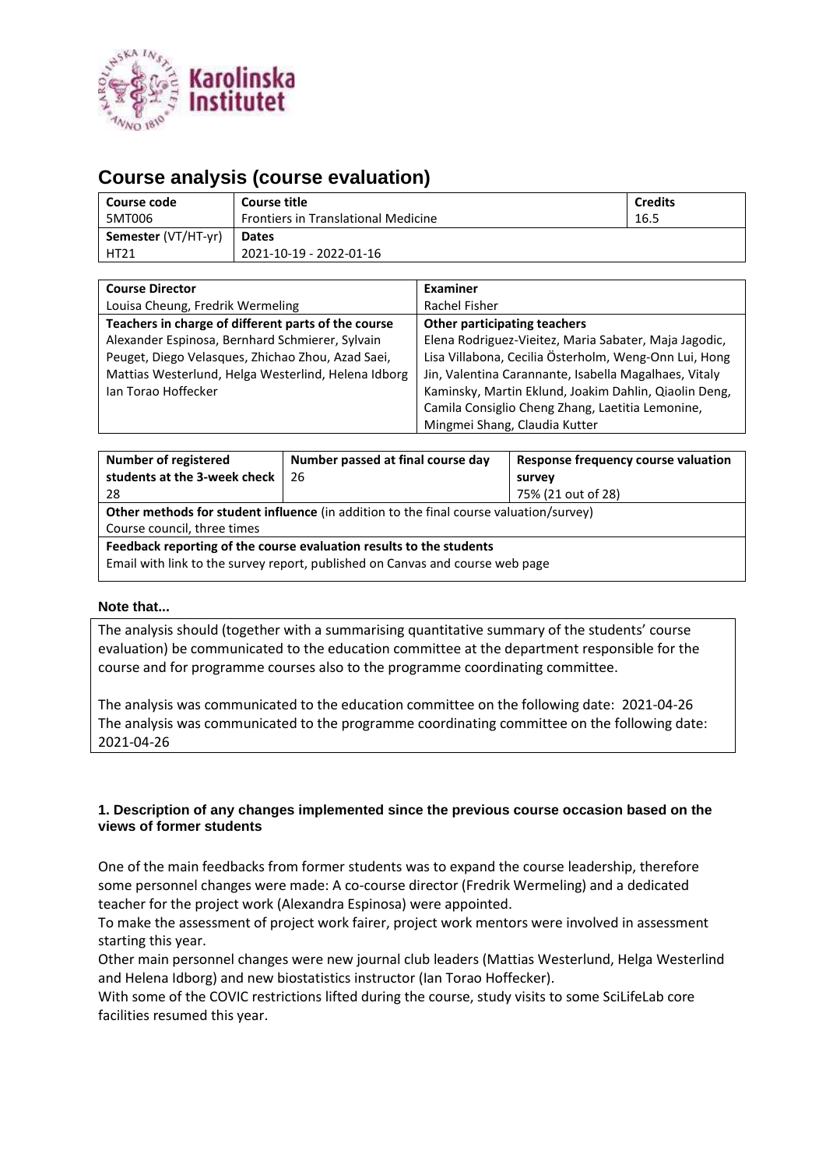

# **Course analysis (course evaluation)**

| Course code         | Course title                               | <b>Credits</b> |
|---------------------|--------------------------------------------|----------------|
| 5MT006              | <b>Frontiers in Translational Medicine</b> | 16.5           |
| Semester (VT/HT-yr) | <b>Dates</b>                               |                |
| <b>HT21</b>         | 2021-10-19 - 2022-01-16                    |                |

| <b>Course Director</b>                              | <b>Examiner</b>                                       |  |  |
|-----------------------------------------------------|-------------------------------------------------------|--|--|
| Louisa Cheung, Fredrik Wermeling                    | Rachel Fisher                                         |  |  |
| Teachers in charge of different parts of the course | Other participating teachers                          |  |  |
| Alexander Espinosa, Bernhard Schmierer, Sylvain     | Elena Rodriguez-Vieitez, Maria Sabater, Maja Jagodic, |  |  |
| Peuget, Diego Velasques, Zhichao Zhou, Azad Saei,   | Lisa Villabona, Cecilia Österholm, Weng-Onn Lui, Hong |  |  |
| Mattias Westerlund, Helga Westerlind, Helena Idborg | Jin, Valentina Carannante, Isabella Magalhaes, Vitaly |  |  |
| Ian Torao Hoffecker                                 | Kaminsky, Martin Eklund, Joakim Dahlin, Qiaolin Deng, |  |  |
|                                                     | Camila Consiglio Cheng Zhang, Laetitia Lemonine,      |  |  |
|                                                     | Mingmei Shang, Claudia Kutter                         |  |  |

| <b>Number of registered</b>                                                                   | Number passed at final course day<br>Response frequency course valuation |                    |  |  |  |
|-----------------------------------------------------------------------------------------------|--------------------------------------------------------------------------|--------------------|--|--|--|
| students at the 3-week check                                                                  | 26                                                                       | survey             |  |  |  |
| 28                                                                                            |                                                                          | 75% (21 out of 28) |  |  |  |
| <b>Other methods for student influence</b> (in addition to the final course valuation/survey) |                                                                          |                    |  |  |  |
| Course council, three times                                                                   |                                                                          |                    |  |  |  |
| Feedback reporting of the course evaluation results to the students                           |                                                                          |                    |  |  |  |
| Email with link to the survey report, published on Canvas and course web page                 |                                                                          |                    |  |  |  |

### **Note that...**

The analysis should (together with a summarising quantitative summary of the students' course evaluation) be communicated to the education committee at the department responsible for the course and for programme courses also to the programme coordinating committee.

The analysis was communicated to the education committee on the following date: 2021-04-26 The analysis was communicated to the programme coordinating committee on the following date: 2021-04-26

### **1. Description of any changes implemented since the previous course occasion based on the views of former students**

One of the main feedbacks from former students was to expand the course leadership, therefore some personnel changes were made: A co-course director (Fredrik Wermeling) and a dedicated teacher for the project work (Alexandra Espinosa) were appointed.

To make the assessment of project work fairer, project work mentors were involved in assessment starting this year.

Other main personnel changes were new journal club leaders (Mattias Westerlund, Helga Westerlind and Helena Idborg) and new biostatistics instructor (Ian Torao Hoffecker).

With some of the COVIC restrictions lifted during the course, study visits to some SciLifeLab core facilities resumed this year.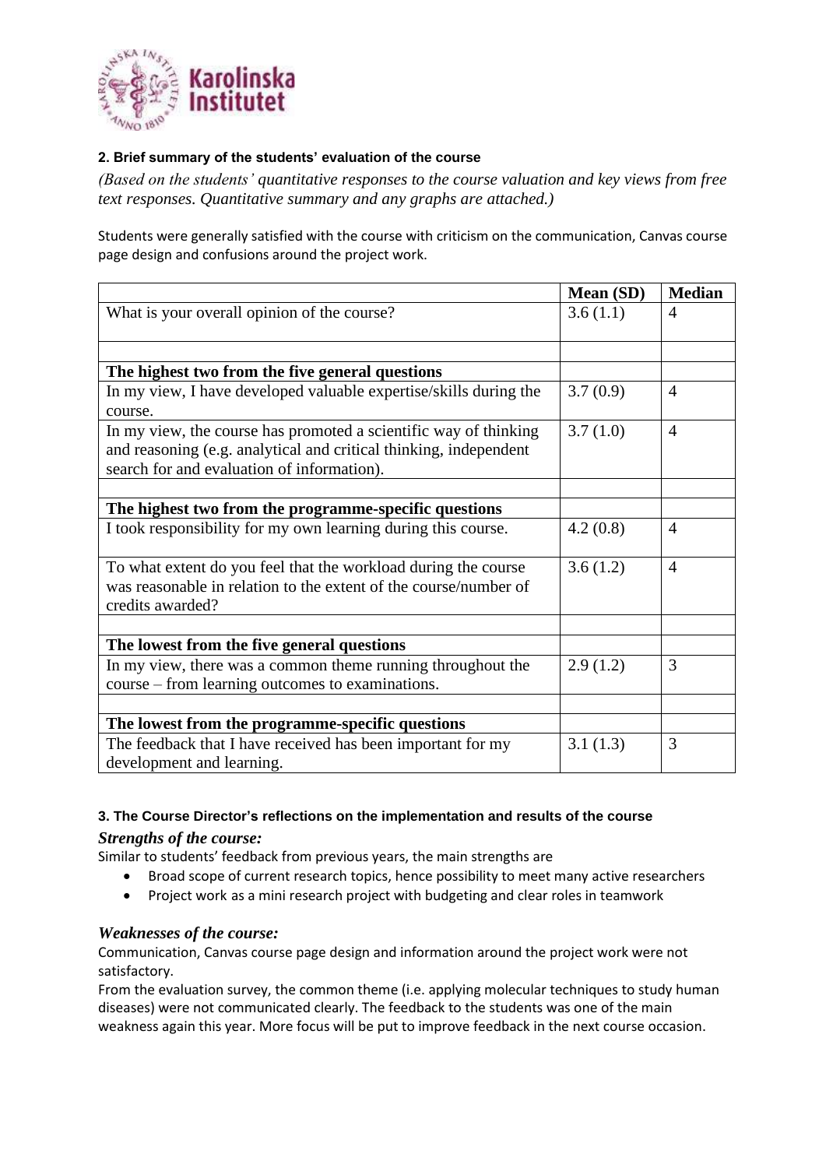

## **2. Brief summary of the students' evaluation of the course**

*(Based on the students' quantitative responses to the course valuation and key views from free text responses. Quantitative summary and any graphs are attached.)*

Students were generally satisfied with the course with criticism on the communication, Canvas course page design and confusions around the project work.

|                                                                   | Mean (SD) | <b>Median</b>  |
|-------------------------------------------------------------------|-----------|----------------|
| What is your overall opinion of the course?                       | 3.6(1.1)  | 4              |
|                                                                   |           |                |
|                                                                   |           |                |
| The highest two from the five general questions                   |           |                |
| In my view, I have developed valuable expertise/skills during the | 3.7(0.9)  | $\overline{4}$ |
| course.                                                           |           |                |
| In my view, the course has promoted a scientific way of thinking  | 3.7(1.0)  | $\overline{4}$ |
| and reasoning (e.g. analytical and critical thinking, independent |           |                |
| search for and evaluation of information).                        |           |                |
|                                                                   |           |                |
| The highest two from the programme-specific questions             |           |                |
| I took responsibility for my own learning during this course.     | 4.2(0.8)  | $\overline{4}$ |
|                                                                   |           |                |
| To what extent do you feel that the workload during the course    | 3.6(1.2)  | $\overline{4}$ |
| was reasonable in relation to the extent of the course/number of  |           |                |
| credits awarded?                                                  |           |                |
|                                                                   |           |                |
| The lowest from the five general questions                        |           |                |
| In my view, there was a common theme running throughout the       | 2.9(1.2)  | 3              |
| course – from learning outcomes to examinations.                  |           |                |
|                                                                   |           |                |
| The lowest from the programme-specific questions                  |           |                |
| The feedback that I have received has been important for my       | 3.1(1.3)  | 3              |
| development and learning.                                         |           |                |

## **3. The Course Director's reflections on the implementation and results of the course**

# *Strengths of the course:*

Similar to students' feedback from previous years, the main strengths are

- Broad scope of current research topics, hence possibility to meet many active researchers
- Project work as a mini research project with budgeting and clear roles in teamwork

# *Weaknesses of the course:*

Communication, Canvas course page design and information around the project work were not satisfactory.

From the evaluation survey, the common theme (i.e. applying molecular techniques to study human diseases) were not communicated clearly. The feedback to the students was one of the main weakness again this year. More focus will be put to improve feedback in the next course occasion.